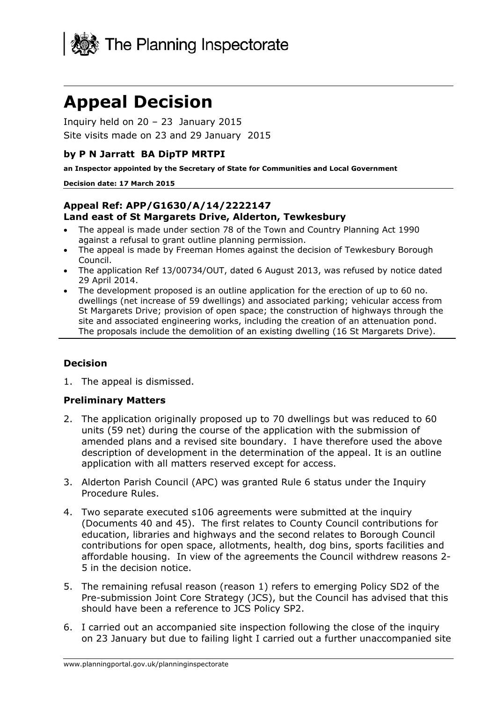

# **Appeal Decision**

Inquiry held on 20 – 23 January 2015 Site visits made on 23 and 29 January 2015

### **by P N Jarratt BA DipTP MRTPI**

**an Inspector appointed by the Secretary of State for Communities and Local Government** 

#### **Decision date: 17 March 2015**

#### **Appeal Ref: APP/G1630/A/14/2222147 Land east of St Margarets Drive, Alderton, Tewkesbury**

- The appeal is made under section 78 of the Town and Country Planning Act 1990 against a refusal to grant outline planning permission.
- The appeal is made by Freeman Homes against the decision of Tewkesbury Borough Council.
- The application Ref 13/00734/OUT, dated 6 August 2013, was refused by notice dated 29 April 2014.
- The development proposed is an outline application for the erection of up to 60 no. dwellings (net increase of 59 dwellings) and associated parking; vehicular access from St Margarets Drive; provision of open space; the construction of highways through the site and associated engineering works, including the creation of an attenuation pond. The proposals include the demolition of an existing dwelling (16 St Margarets Drive).

#### **Decision**

1. The appeal is dismissed.

#### **Preliminary Matters**

- 2. The application originally proposed up to 70 dwellings but was reduced to 60 units (59 net) during the course of the application with the submission of amended plans and a revised site boundary. I have therefore used the above description of development in the determination of the appeal. It is an outline application with all matters reserved except for access.
- 3. Alderton Parish Council (APC) was granted Rule 6 status under the Inquiry Procedure Rules.
- 4. Two separate executed s106 agreements were submitted at the inquiry (Documents 40 and 45). The first relates to County Council contributions for education, libraries and highways and the second relates to Borough Council contributions for open space, allotments, health, dog bins, sports facilities and affordable housing. In view of the agreements the Council withdrew reasons 2- 5 in the decision notice.
- 5. The remaining refusal reason (reason 1) refers to emerging Policy SD2 of the Pre-submission Joint Core Strategy (JCS), but the Council has advised that this should have been a reference to JCS Policy SP2.
- 6. I carried out an accompanied site inspection following the close of the inquiry on 23 January but due to failing light I carried out a further unaccompanied site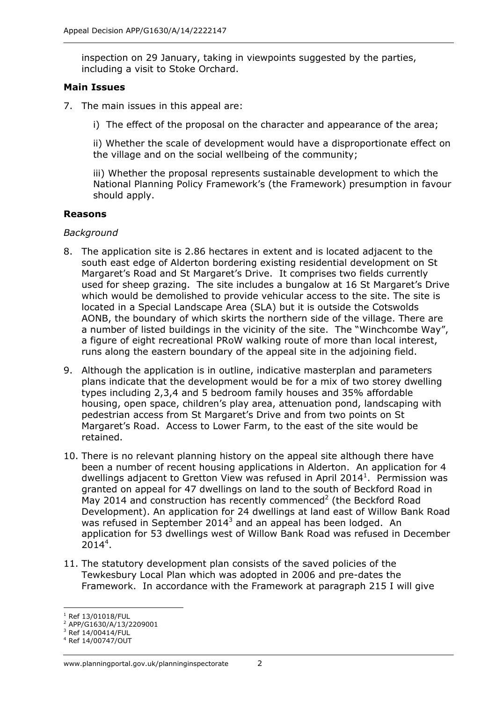inspection on 29 January, taking in viewpoints suggested by the parties, including a visit to Stoke Orchard.

#### **Main Issues**

- 7. The main issues in this appeal are:
	- i) The effect of the proposal on the character and appearance of the area;

ii) Whether the scale of development would have a disproportionate effect on the village and on the social wellbeing of the community;

iii) Whether the proposal represents sustainable development to which the National Planning Policy Framework's (the Framework) presumption in favour should apply.

### **Reasons**

### *Background*

- 8. The application site is 2.86 hectares in extent and is located adjacent to the south east edge of Alderton bordering existing residential development on St Margaret's Road and St Margaret's Drive. It comprises two fields currently used for sheep grazing. The site includes a bungalow at 16 St Margaret's Drive which would be demolished to provide vehicular access to the site. The site is located in a Special Landscape Area (SLA) but it is outside the Cotswolds AONB, the boundary of which skirts the northern side of the village. There are a number of listed buildings in the vicinity of the site. The "Winchcombe Way", a figure of eight recreational PRoW walking route of more than local interest, runs along the eastern boundary of the appeal site in the adjoining field.
- 9. Although the application is in outline, indicative masterplan and parameters plans indicate that the development would be for a mix of two storey dwelling types including 2,3,4 and 5 bedroom family houses and 35% affordable housing, open space, children's play area, attenuation pond, landscaping with pedestrian access from St Margaret's Drive and from two points on St Margaret's Road. Access to Lower Farm, to the east of the site would be retained.
- 10. There is no relevant planning history on the appeal site although there have been a number of recent housing applications in Alderton. An application for 4 dwellings adjacent to Gretton View was refused in April 2014<sup>1</sup>. Permission was granted on appeal for 47 dwellings on land to the south of Beckford Road in May 2014 and construction has recently commenced<sup>2</sup> (the Beckford Road Development). An application for 24 dwellings at land east of Willow Bank Road was refused in September 2014<sup>3</sup> and an appeal has been lodged. An application for 53 dwellings west of Willow Bank Road was refused in December  $2014^4$ .
- 11. The statutory development plan consists of the saved policies of the Tewkesbury Local Plan which was adopted in 2006 and pre-dates the Framework. In accordance with the Framework at paragraph 215 I will give

<sup>-</sup>1 Ref 13/01018/FUL

<sup>2</sup> APP/G1630/A/13/2209001

<sup>3</sup> Ref 14/00414/FUL

<sup>4</sup> Ref 14/00747/OUT

www.planningportal.gov.uk/planninginspectorate 2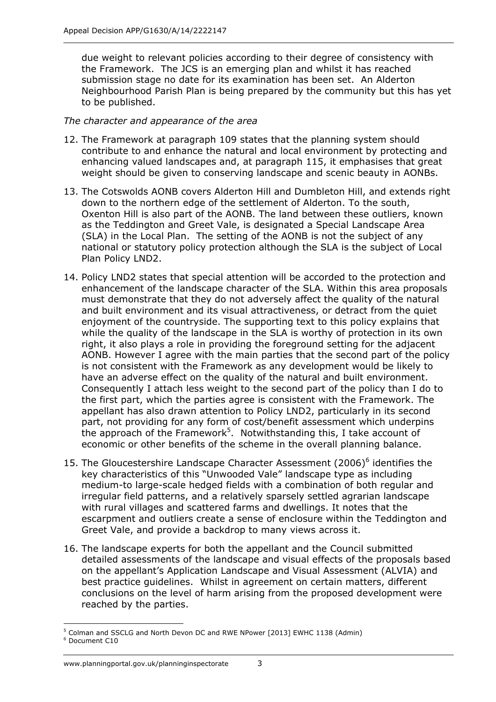due weight to relevant policies according to their degree of consistency with the Framework. The JCS is an emerging plan and whilst it has reached submission stage no date for its examination has been set. An Alderton Neighbourhood Parish Plan is being prepared by the community but this has yet to be published.

#### *The character and appearance of the area*

- 12. The Framework at paragraph 109 states that the planning system should contribute to and enhance the natural and local environment by protecting and enhancing valued landscapes and, at paragraph 115, it emphasises that great weight should be given to conserving landscape and scenic beauty in AONBs.
- 13. The Cotswolds AONB covers Alderton Hill and Dumbleton Hill, and extends right down to the northern edge of the settlement of Alderton. To the south, Oxenton Hill is also part of the AONB. The land between these outliers, known as the Teddington and Greet Vale, is designated a Special Landscape Area (SLA) in the Local Plan. The setting of the AONB is not the subject of any national or statutory policy protection although the SLA is the subject of Local Plan Policy LND2.
- 14. Policy LND2 states that special attention will be accorded to the protection and enhancement of the landscape character of the SLA. Within this area proposals must demonstrate that they do not adversely affect the quality of the natural and built environment and its visual attractiveness, or detract from the quiet enjoyment of the countryside. The supporting text to this policy explains that while the quality of the landscape in the SLA is worthy of protection in its own right, it also plays a role in providing the foreground setting for the adjacent AONB. However I agree with the main parties that the second part of the policy is not consistent with the Framework as any development would be likely to have an adverse effect on the quality of the natural and built environment. Consequently I attach less weight to the second part of the policy than I do to the first part, which the parties agree is consistent with the Framework. The appellant has also drawn attention to Policy LND2, particularly in its second part, not providing for any form of cost/benefit assessment which underpins the approach of the Framework<sup>5</sup>. Notwithstanding this, I take account of economic or other benefits of the scheme in the overall planning balance.
- 15. The Gloucestershire Landscape Character Assessment (2006)<sup>6</sup> identifies the key characteristics of this "Unwooded Vale" landscape type as including medium-to large-scale hedged fields with a combination of both regular and irregular field patterns, and a relatively sparsely settled agrarian landscape with rural villages and scattered farms and dwellings. It notes that the escarpment and outliers create a sense of enclosure within the Teddington and Greet Vale, and provide a backdrop to many views across it.
- 16. The landscape experts for both the appellant and the Council submitted detailed assessments of the landscape and visual effects of the proposals based on the appellant's Application Landscape and Visual Assessment (ALVIA) and best practice guidelines. Whilst in agreement on certain matters, different conclusions on the level of harm arising from the proposed development were reached by the parties.

<sup>-</sup><sup>5</sup> Colman and SSCLG and North Devon DC and RWE NPower [2013] EWHC 1138 (Admin)

<sup>6</sup> Document C10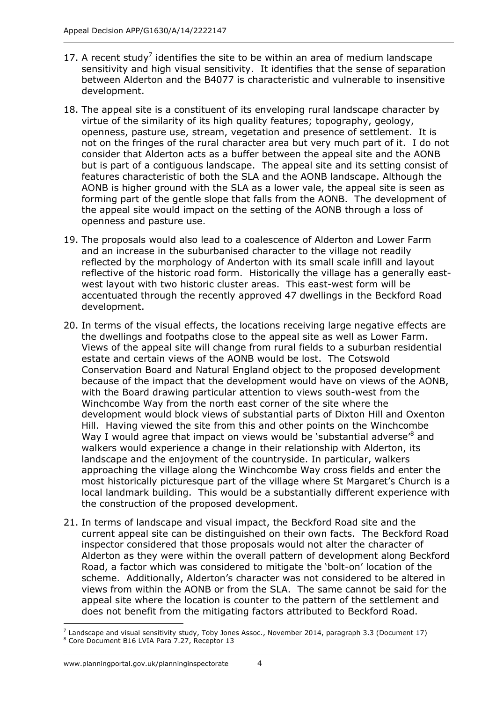- 17. A recent study<sup>7</sup> identifies the site to be within an area of medium landscape sensitivity and high visual sensitivity. It identifies that the sense of separation between Alderton and the B4077 is characteristic and vulnerable to insensitive development.
- 18. The appeal site is a constituent of its enveloping rural landscape character by virtue of the similarity of its high quality features; topography, geology, openness, pasture use, stream, vegetation and presence of settlement. It is not on the fringes of the rural character area but very much part of it. I do not consider that Alderton acts as a buffer between the appeal site and the AONB but is part of a contiguous landscape. The appeal site and its setting consist of features characteristic of both the SLA and the AONB landscape. Although the AONB is higher ground with the SLA as a lower vale, the appeal site is seen as forming part of the gentle slope that falls from the AONB. The development of the appeal site would impact on the setting of the AONB through a loss of openness and pasture use.
- 19. The proposals would also lead to a coalescence of Alderton and Lower Farm and an increase in the suburbanised character to the village not readily reflected by the morphology of Anderton with its small scale infill and layout reflective of the historic road form. Historically the village has a generally eastwest layout with two historic cluster areas. This east-west form will be accentuated through the recently approved 47 dwellings in the Beckford Road development.
- 20. In terms of the visual effects, the locations receiving large negative effects are the dwellings and footpaths close to the appeal site as well as Lower Farm. Views of the appeal site will change from rural fields to a suburban residential estate and certain views of the AONB would be lost. The Cotswold Conservation Board and Natural England object to the proposed development because of the impact that the development would have on views of the AONB, with the Board drawing particular attention to views south-west from the Winchcombe Way from the north east corner of the site where the development would block views of substantial parts of Dixton Hill and Oxenton Hill. Having viewed the site from this and other points on the Winchcombe Way I would agree that impact on views would be `substantial adverse'<sup>8</sup> and walkers would experience a change in their relationship with Alderton, its landscape and the enjoyment of the countryside. In particular, walkers approaching the village along the Winchcombe Way cross fields and enter the most historically picturesque part of the village where St Margaret's Church is a local landmark building. This would be a substantially different experience with the construction of the proposed development.
- 21. In terms of landscape and visual impact, the Beckford Road site and the current appeal site can be distinguished on their own facts. The Beckford Road inspector considered that those proposals would not alter the character of Alderton as they were within the overall pattern of development along Beckford Road, a factor which was considered to mitigate the 'bolt-on' location of the scheme. Additionally, Alderton's character was not considered to be altered in views from within the AONB or from the SLA. The same cannot be said for the appeal site where the location is counter to the pattern of the settlement and does not benefit from the mitigating factors attributed to Beckford Road.

 7 Landscape and visual sensitivity study, Toby Jones Assoc., November 2014, paragraph 3.3 (Document 17) <sup>8</sup> Core Document B16 LVIA Para 7.27, Receptor 13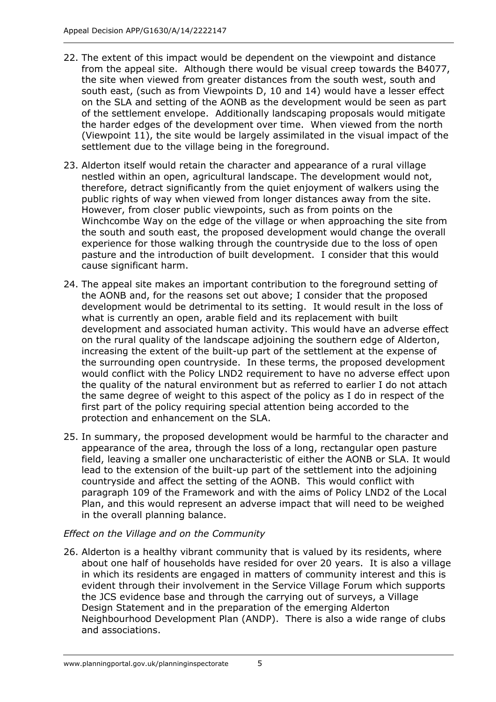- 22. The extent of this impact would be dependent on the viewpoint and distance from the appeal site. Although there would be visual creep towards the B4077, the site when viewed from greater distances from the south west, south and south east, (such as from Viewpoints D, 10 and 14) would have a lesser effect on the SLA and setting of the AONB as the development would be seen as part of the settlement envelope. Additionally landscaping proposals would mitigate the harder edges of the development over time. When viewed from the north (Viewpoint 11), the site would be largely assimilated in the visual impact of the settlement due to the village being in the foreground.
- 23. Alderton itself would retain the character and appearance of a rural village nestled within an open, agricultural landscape. The development would not, therefore, detract significantly from the quiet enjoyment of walkers using the public rights of way when viewed from longer distances away from the site. However, from closer public viewpoints, such as from points on the Winchcombe Way on the edge of the village or when approaching the site from the south and south east, the proposed development would change the overall experience for those walking through the countryside due to the loss of open pasture and the introduction of built development. I consider that this would cause significant harm.
- 24. The appeal site makes an important contribution to the foreground setting of the AONB and, for the reasons set out above; I consider that the proposed development would be detrimental to its setting. It would result in the loss of what is currently an open, arable field and its replacement with built development and associated human activity. This would have an adverse effect on the rural quality of the landscape adjoining the southern edge of Alderton, increasing the extent of the built-up part of the settlement at the expense of the surrounding open countryside. In these terms, the proposed development would conflict with the Policy LND2 requirement to have no adverse effect upon the quality of the natural environment but as referred to earlier I do not attach the same degree of weight to this aspect of the policy as I do in respect of the first part of the policy requiring special attention being accorded to the protection and enhancement on the SLA.
- 25. In summary, the proposed development would be harmful to the character and appearance of the area, through the loss of a long, rectangular open pasture field, leaving a smaller one uncharacteristic of either the AONB or SLA. It would lead to the extension of the built-up part of the settlement into the adjoining countryside and affect the setting of the AONB. This would conflict with paragraph 109 of the Framework and with the aims of Policy LND2 of the Local Plan, and this would represent an adverse impact that will need to be weighed in the overall planning balance.

# *Effect on the Village and on the Community*

26. Alderton is a healthy vibrant community that is valued by its residents, where about one half of households have resided for over 20 years. It is also a village in which its residents are engaged in matters of community interest and this is evident through their involvement in the Service Village Forum which supports the JCS evidence base and through the carrying out of surveys, a Village Design Statement and in the preparation of the emerging Alderton Neighbourhood Development Plan (ANDP). There is also a wide range of clubs and associations.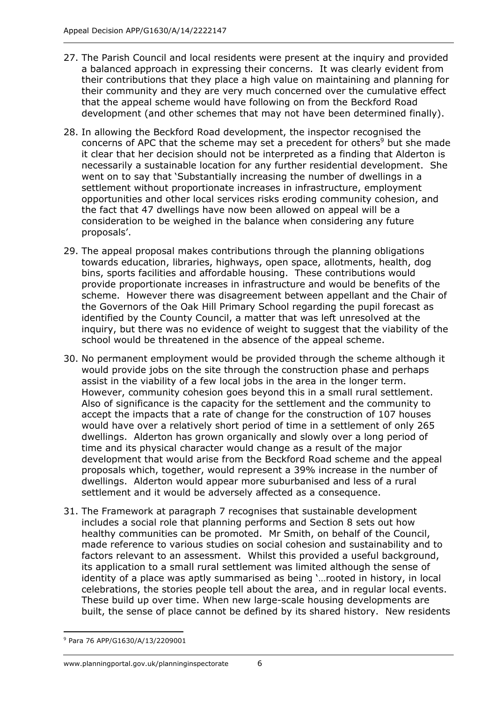- 27. The Parish Council and local residents were present at the inquiry and provided a balanced approach in expressing their concerns. It was clearly evident from their contributions that they place a high value on maintaining and planning for their community and they are very much concerned over the cumulative effect that the appeal scheme would have following on from the Beckford Road development (and other schemes that may not have been determined finally).
- 28. In allowing the Beckford Road development, the inspector recognised the concerns of APC that the scheme may set a precedent for others<sup>9</sup> but she made it clear that her decision should not be interpreted as a finding that Alderton is necessarily a sustainable location for any further residential development. She went on to say that 'Substantially increasing the number of dwellings in a settlement without proportionate increases in infrastructure, employment opportunities and other local services risks eroding community cohesion, and the fact that 47 dwellings have now been allowed on appeal will be a consideration to be weighed in the balance when considering any future proposals'.
- 29. The appeal proposal makes contributions through the planning obligations towards education, libraries, highways, open space, allotments, health, dog bins, sports facilities and affordable housing. These contributions would provide proportionate increases in infrastructure and would be benefits of the scheme. However there was disagreement between appellant and the Chair of the Governors of the Oak Hill Primary School regarding the pupil forecast as identified by the County Council, a matter that was left unresolved at the inquiry, but there was no evidence of weight to suggest that the viability of the school would be threatened in the absence of the appeal scheme.
- 30. No permanent employment would be provided through the scheme although it would provide jobs on the site through the construction phase and perhaps assist in the viability of a few local jobs in the area in the longer term. However, community cohesion goes beyond this in a small rural settlement. Also of significance is the capacity for the settlement and the community to accept the impacts that a rate of change for the construction of 107 houses would have over a relatively short period of time in a settlement of only 265 dwellings. Alderton has grown organically and slowly over a long period of time and its physical character would change as a result of the major development that would arise from the Beckford Road scheme and the appeal proposals which, together, would represent a 39% increase in the number of dwellings. Alderton would appear more suburbanised and less of a rural settlement and it would be adversely affected as a consequence.
- 31. The Framework at paragraph 7 recognises that sustainable development includes a social role that planning performs and Section 8 sets out how healthy communities can be promoted. Mr Smith, on behalf of the Council, made reference to various studies on social cohesion and sustainability and to factors relevant to an assessment. Whilst this provided a useful background, its application to a small rural settlement was limited although the sense of identity of a place was aptly summarised as being '…rooted in history, in local celebrations, the stories people tell about the area, and in regular local events. These build up over time. When new large-scale housing developments are built, the sense of place cannot be defined by its shared history. New residents

<sup>1</sup> 9 Para 76 APP/G1630/A/13/2209001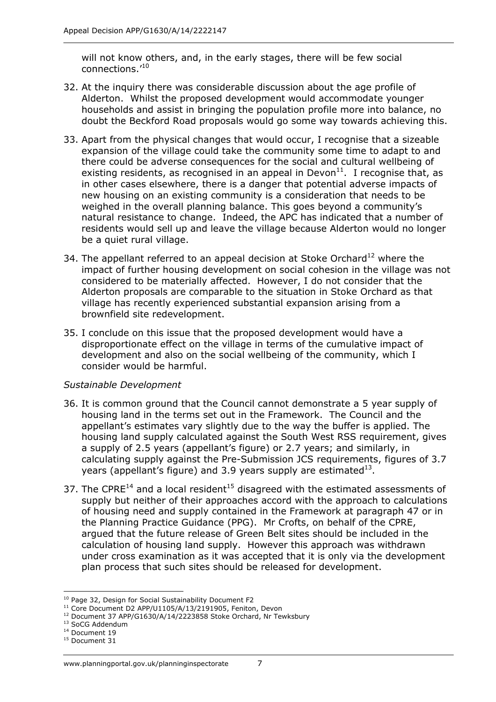will not know others, and, in the early stages, there will be few social connections.'<sup>10</sup>

- 32. At the inquiry there was considerable discussion about the age profile of Alderton. Whilst the proposed development would accommodate younger households and assist in bringing the population profile more into balance, no doubt the Beckford Road proposals would go some way towards achieving this.
- 33. Apart from the physical changes that would occur, I recognise that a sizeable expansion of the village could take the community some time to adapt to and there could be adverse consequences for the social and cultural wellbeing of existing residents, as recognised in an appeal in Devon $^{11}$ . I recognise that, as in other cases elsewhere, there is a danger that potential adverse impacts of new housing on an existing community is a consideration that needs to be weighed in the overall planning balance. This goes beyond a community's natural resistance to change. Indeed, the APC has indicated that a number of residents would sell up and leave the village because Alderton would no longer be a quiet rural village.
- 34. The appellant referred to an appeal decision at Stoke Orchard<sup>12</sup> where the impact of further housing development on social cohesion in the village was not considered to be materially affected. However, I do not consider that the Alderton proposals are comparable to the situation in Stoke Orchard as that village has recently experienced substantial expansion arising from a brownfield site redevelopment.
- 35. I conclude on this issue that the proposed development would have a disproportionate effect on the village in terms of the cumulative impact of development and also on the social wellbeing of the community, which I consider would be harmful.

#### *Sustainable Development*

- 36. It is common ground that the Council cannot demonstrate a 5 year supply of housing land in the terms set out in the Framework. The Council and the appellant's estimates vary slightly due to the way the buffer is applied. The housing land supply calculated against the South West RSS requirement, gives a supply of 2.5 years (appellant's figure) or 2.7 years; and similarly, in calculating supply against the Pre-Submission JCS requirements, figures of 3.7 years (appellant's figure) and 3.9 years supply are estimated $^{13}$ .
- 37. The CPRE<sup>14</sup> and a local resident<sup>15</sup> disagreed with the estimated assessments of supply but neither of their approaches accord with the approach to calculations of housing need and supply contained in the Framework at paragraph 47 or in the Planning Practice Guidance (PPG). Mr Crofts, on behalf of the CPRE, argued that the future release of Green Belt sites should be included in the calculation of housing land supply. However this approach was withdrawn under cross examination as it was accepted that it is only via the development plan process that such sites should be released for development.

<sup>-</sup><sup>10</sup> Page 32, Design for Social Sustainability Document F2

<sup>11</sup> Core Document D2 APP/U1105/A/13/2191905, Feniton, Devon

<sup>&</sup>lt;sup>12</sup> Document 37 APP/G1630/A/14/2223858 Stoke Orchard, Nr Tewksbury

<sup>&</sup>lt;sup>13</sup> SoCG Addendum

<sup>&</sup>lt;sup>14</sup> Document 19

<sup>&</sup>lt;sup>15</sup> Document 31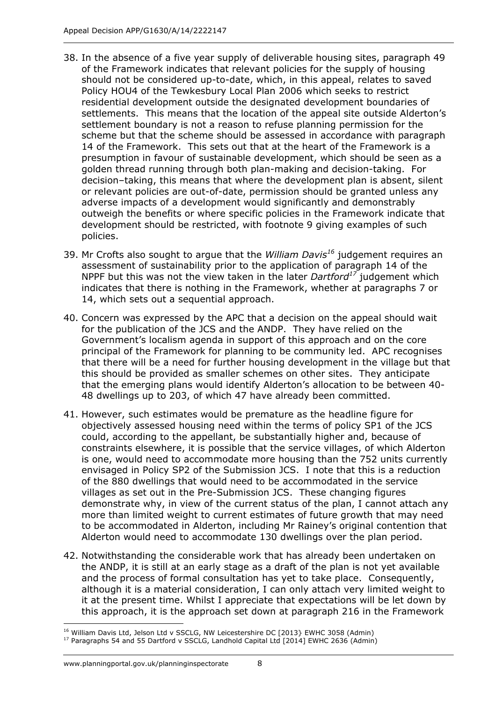- 38. In the absence of a five year supply of deliverable housing sites, paragraph 49 of the Framework indicates that relevant policies for the supply of housing should not be considered up-to-date, which, in this appeal, relates to saved Policy HOU4 of the Tewkesbury Local Plan 2006 which seeks to restrict residential development outside the designated development boundaries of settlements. This means that the location of the appeal site outside Alderton's settlement boundary is not a reason to refuse planning permission for the scheme but that the scheme should be assessed in accordance with paragraph 14 of the Framework. This sets out that at the heart of the Framework is a presumption in favour of sustainable development, which should be seen as a golden thread running through both plan-making and decision-taking. For decision–taking, this means that where the development plan is absent, silent or relevant policies are out-of-date, permission should be granted unless any adverse impacts of a development would significantly and demonstrably outweigh the benefits or where specific policies in the Framework indicate that development should be restricted, with footnote 9 giving examples of such policies.
- 39. Mr Crofts also sought to argue that the *William Davis<sup>16</sup>* judgement requires an assessment of sustainability prior to the application of paragraph 14 of the NPPF but this was not the view taken in the later *Dartford<sup>17</sup>* judgement which indicates that there is nothing in the Framework, whether at paragraphs 7 or 14, which sets out a sequential approach.
- 40. Concern was expressed by the APC that a decision on the appeal should wait for the publication of the JCS and the ANDP. They have relied on the Government's localism agenda in support of this approach and on the core principal of the Framework for planning to be community led. APC recognises that there will be a need for further housing development in the village but that this should be provided as smaller schemes on other sites. They anticipate that the emerging plans would identify Alderton's allocation to be between 40- 48 dwellings up to 203, of which 47 have already been committed.
- 41. However, such estimates would be premature as the headline figure for objectively assessed housing need within the terms of policy SP1 of the JCS could, according to the appellant, be substantially higher and, because of constraints elsewhere, it is possible that the service villages, of which Alderton is one, would need to accommodate more housing than the 752 units currently envisaged in Policy SP2 of the Submission JCS. I note that this is a reduction of the 880 dwellings that would need to be accommodated in the service villages as set out in the Pre-Submission JCS. These changing figures demonstrate why, in view of the current status of the plan, I cannot attach any more than limited weight to current estimates of future growth that may need to be accommodated in Alderton, including Mr Rainey's original contention that Alderton would need to accommodate 130 dwellings over the plan period.
- 42. Notwithstanding the considerable work that has already been undertaken on the ANDP, it is still at an early stage as a draft of the plan is not yet available and the process of formal consultation has yet to take place. Consequently, although it is a material consideration, I can only attach very limited weight to it at the present time. Whilst I appreciate that expectations will be let down by this approach, it is the approach set down at paragraph 216 in the Framework

<sup>-</sup><sup>16</sup> William Davis Ltd, Jelson Ltd v SSCLG, NW Leicestershire DC [2013} EWHC 3058 (Admin)

 $17$  Paragraphs 54 and 55 Dartford v SSCLG, Landhold Capital Ltd [2014] EWHC 2636 (Admin)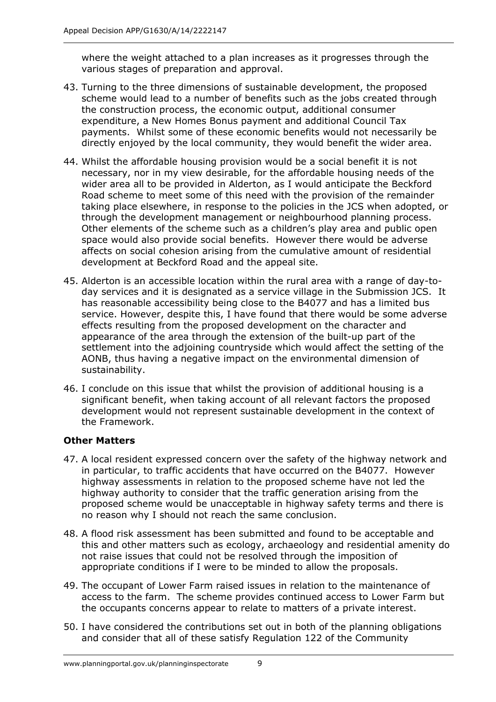where the weight attached to a plan increases as it progresses through the various stages of preparation and approval.

- 43. Turning to the three dimensions of sustainable development, the proposed scheme would lead to a number of benefits such as the jobs created through the construction process, the economic output, additional consumer expenditure, a New Homes Bonus payment and additional Council Tax payments. Whilst some of these economic benefits would not necessarily be directly enjoyed by the local community, they would benefit the wider area.
- 44. Whilst the affordable housing provision would be a social benefit it is not necessary, nor in my view desirable, for the affordable housing needs of the wider area all to be provided in Alderton, as I would anticipate the Beckford Road scheme to meet some of this need with the provision of the remainder taking place elsewhere, in response to the policies in the JCS when adopted, or through the development management or neighbourhood planning process. Other elements of the scheme such as a children's play area and public open space would also provide social benefits. However there would be adverse affects on social cohesion arising from the cumulative amount of residential development at Beckford Road and the appeal site.
- 45. Alderton is an accessible location within the rural area with a range of day-today services and it is designated as a service village in the Submission JCS. It has reasonable accessibility being close to the B4077 and has a limited bus service. However, despite this, I have found that there would be some adverse effects resulting from the proposed development on the character and appearance of the area through the extension of the built-up part of the settlement into the adjoining countryside which would affect the setting of the AONB, thus having a negative impact on the environmental dimension of sustainability.
- 46. I conclude on this issue that whilst the provision of additional housing is a significant benefit, when taking account of all relevant factors the proposed development would not represent sustainable development in the context of the Framework.

## **Other Matters**

- 47. A local resident expressed concern over the safety of the highway network and in particular, to traffic accidents that have occurred on the B4077. However highway assessments in relation to the proposed scheme have not led the highway authority to consider that the traffic generation arising from the proposed scheme would be unacceptable in highway safety terms and there is no reason why I should not reach the same conclusion.
- 48. A flood risk assessment has been submitted and found to be acceptable and this and other matters such as ecology, archaeology and residential amenity do not raise issues that could not be resolved through the imposition of appropriate conditions if I were to be minded to allow the proposals.
- 49. The occupant of Lower Farm raised issues in relation to the maintenance of access to the farm. The scheme provides continued access to Lower Farm but the occupants concerns appear to relate to matters of a private interest.
- 50. I have considered the contributions set out in both of the planning obligations and consider that all of these satisfy Regulation 122 of the Community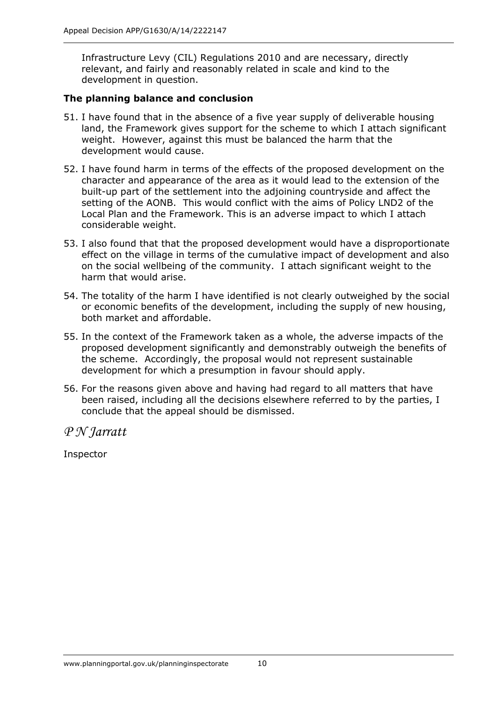Infrastructure Levy (CIL) Regulations 2010 and are necessary, directly relevant, and fairly and reasonably related in scale and kind to the development in question.

#### **The planning balance and conclusion**

- 51. I have found that in the absence of a five year supply of deliverable housing land, the Framework gives support for the scheme to which I attach significant weight. However, against this must be balanced the harm that the development would cause.
- 52. I have found harm in terms of the effects of the proposed development on the character and appearance of the area as it would lead to the extension of the built-up part of the settlement into the adjoining countryside and affect the setting of the AONB. This would conflict with the aims of Policy LND2 of the Local Plan and the Framework. This is an adverse impact to which I attach considerable weight.
- 53. I also found that that the proposed development would have a disproportionate effect on the village in terms of the cumulative impact of development and also on the social wellbeing of the community. I attach significant weight to the harm that would arise.
- 54. The totality of the harm I have identified is not clearly outweighed by the social or economic benefits of the development, including the supply of new housing, both market and affordable.
- 55. In the context of the Framework taken as a whole, the adverse impacts of the proposed development significantly and demonstrably outweigh the benefits of the scheme. Accordingly, the proposal would not represent sustainable development for which a presumption in favour should apply.
- 56. For the reasons given above and having had regard to all matters that have been raised, including all the decisions elsewhere referred to by the parties, I conclude that the appeal should be dismissed.

*P N Jarratt* 

Inspector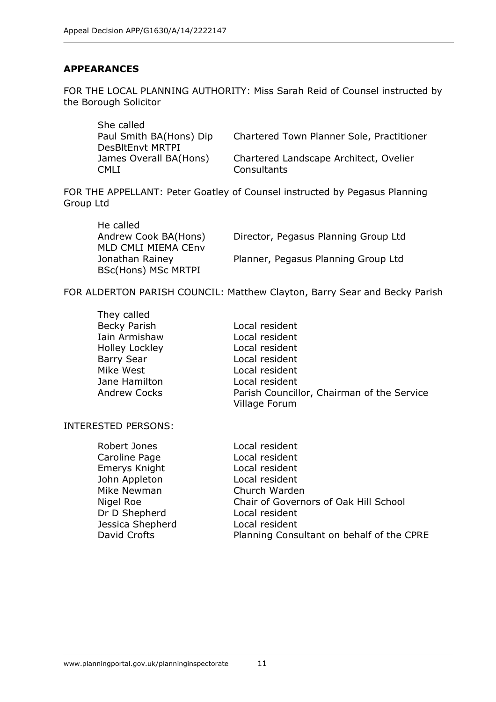### **APPEARANCES**

FOR THE LOCAL PLANNING AUTHORITY: Miss Sarah Reid of Counsel instructed by the Borough Solicitor

| She called              |                                           |
|-------------------------|-------------------------------------------|
| Paul Smith BA(Hons) Dip | Chartered Town Planner Sole, Practitioner |
| DesBltEnvt MRTPI        |                                           |
| James Overall BA(Hons)  | Chartered Landscape Architect, Ovelier    |
| CMI T                   | <b>Consultants</b>                        |

FOR THE APPELLANT: Peter Goatley of Counsel instructed by Pegasus Planning Group Ltd

| He called            |                                      |
|----------------------|--------------------------------------|
| Andrew Cook BA(Hons) | Director, Pegasus Planning Group Ltd |
| MLD CMLI MIEMA CEnv  |                                      |
| Jonathan Rainey      | Planner, Pegasus Planning Group Ltd  |
| BSc(Hons) MSc MRTPI  |                                      |

FOR ALDERTON PARISH COUNCIL: Matthew Clayton, Barry Sear and Becky Parish

| They called           |                                            |
|-----------------------|--------------------------------------------|
| <b>Becky Parish</b>   | Local resident                             |
| Iain Armishaw         | Local resident                             |
| <b>Holley Lockley</b> | Local resident                             |
| <b>Barry Sear</b>     | Local resident                             |
| Mike West             | Local resident                             |
| Jane Hamilton         | Local resident                             |
| <b>Andrew Cocks</b>   | Parish Councillor, Chairman of the Service |
|                       | Village Forum                              |

#### INTERESTED PERSONS:

| Robert Jones<br>Caroline Page<br>Emerys Knight<br>John Appleton<br>Mike Newman<br>Nigel Roe<br>Dr D Shepherd<br>Jessica Shepherd | Local resident<br>Local resident<br>Local resident<br>Local resident<br>Church Warden<br>Chair of Governors of Oak Hill School<br>Local resident<br>Local resident |
|----------------------------------------------------------------------------------------------------------------------------------|--------------------------------------------------------------------------------------------------------------------------------------------------------------------|
| David Crofts                                                                                                                     | Planning Consultant on behalf of the CPRE                                                                                                                          |
|                                                                                                                                  |                                                                                                                                                                    |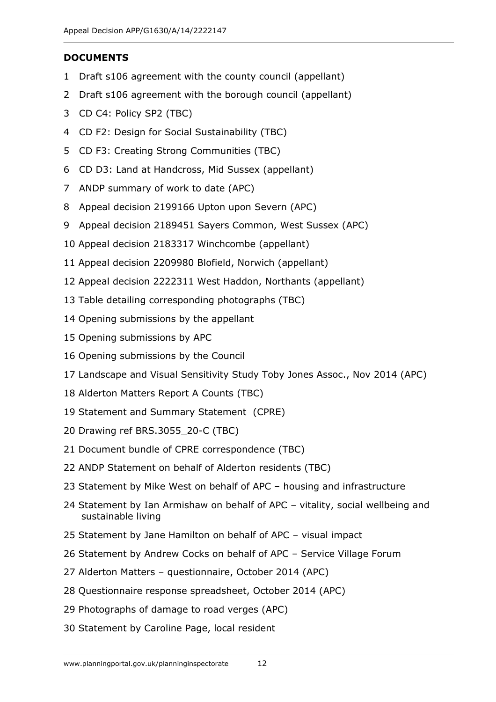# **DOCUMENTS**

- 1 Draft s106 agreement with the county council (appellant)
- 2 Draft s106 agreement with the borough council (appellant)
- 3 CD C4: Policy SP2 (TBC)
- 4 CD F2: Design for Social Sustainability (TBC)
- 5 CD F3: Creating Strong Communities (TBC)
- 6 CD D3: Land at Handcross, Mid Sussex (appellant)
- 7 ANDP summary of work to date (APC)
- 8 Appeal decision 2199166 Upton upon Severn (APC)
- 9 Appeal decision 2189451 Sayers Common, West Sussex (APC)
- 10 Appeal decision 2183317 Winchcombe (appellant)
- 11 Appeal decision 2209980 Blofield, Norwich (appellant)
- 12 Appeal decision 2222311 West Haddon, Northants (appellant)
- 13 Table detailing corresponding photographs (TBC)
- 14 Opening submissions by the appellant
- 15 Opening submissions by APC
- 16 Opening submissions by the Council
- 17 Landscape and Visual Sensitivity Study Toby Jones Assoc., Nov 2014 (APC)
- 18 Alderton Matters Report A Counts (TBC)
- 19 Statement and Summary Statement (CPRE)
- 20 Drawing ref BRS.3055\_20-C (TBC)
- 21 Document bundle of CPRE correspondence (TBC)
- 22 ANDP Statement on behalf of Alderton residents (TBC)
- 23 Statement by Mike West on behalf of APC housing and infrastructure
- 24 Statement by Ian Armishaw on behalf of APC vitality, social wellbeing and sustainable living
- 25 Statement by Jane Hamilton on behalf of APC visual impact
- 26 Statement by Andrew Cocks on behalf of APC Service Village Forum
- 27 Alderton Matters questionnaire, October 2014 (APC)
- 28 Questionnaire response spreadsheet, October 2014 (APC)
- 29 Photographs of damage to road verges (APC)
- 30 Statement by Caroline Page, local resident